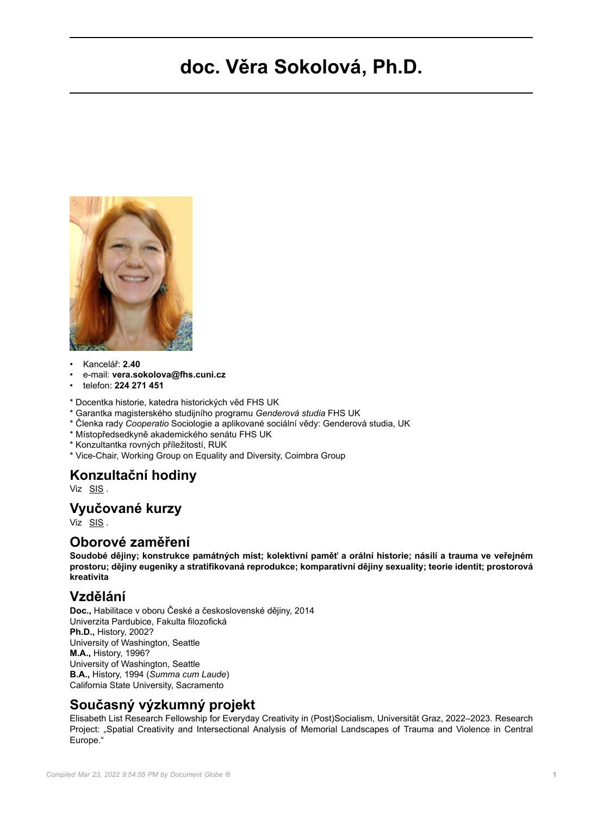# **doc. Věra Sokolová, Ph.D.**



- Kancelář: **2.40**
- e-mail: **vera.sokolova@fhs.cuni.cz**
- telefon: **224 271 451**
- \* Docentka historie, katedra historických věd FHS UK
- \* Garantka magisterského studijního programu *Genderová studia* FHS UK
- \* Členka rady *Cooperatio* Sociologie a aplikované sociální vědy: Genderová studia, UK
- \* Místopředsedkyně akademického senátu FHS UK
- \* Konzultantka rovných příležitostí, RUK
- \* Vice-Chair, Working Group on Equality and Diversity, Coimbra Group

#### **Konzultační hodiny**

Viz [SIS](https://is.cuni.cz/studium/kdojekdo/index.php?do=detailuc&kuc=04791) .

#### **Vyučované kurzy**

Viz [SIS](https://is.cuni.cz/studium/predmety/index.php?do=ucit&kod=14826) .

#### **Oborové zaměření**

**Soudobé dějiny; konstrukce památných míst; kolektivní paměť a orální historie; násilí a trauma ve veřejném prostoru; dějiny eugeniky a stratifikovaná reprodukce; komparativní dějiny sexuality; teorie identit; prostorová kreativita**

### **Vzdělání**

**Doc.,** Habilitace v oboru České a československé dějiny, 2014 Univerzita Pardubice, Fakulta filozofická **Ph.D.,** History, 2002? University of Washington, Seattle **M.A.,** History, 1996? University of Washington, Seattle **B.A.,** History, 1994 (*Summa cum Laude*) California State University, Sacramento

## **Současný výzkumný projekt**

Elisabeth List Research Fellowship for Everyday Creativity in (Post)Socialism, Universität Graz, 2022–2023. Research Project: "Spatial Creativity and Intersectional Analysis of Memorial Landscapes of Trauma and Violence in Central Europe."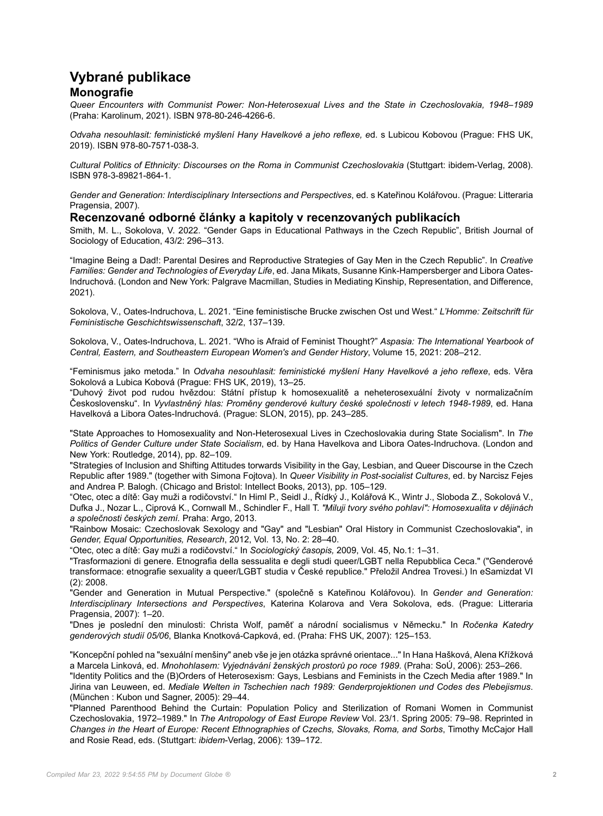## **Vybrané publikace Monografie**

*Queer Encounters with Communist Power: Non-Heterosexual Lives and the State in Czechoslovakia, 1948–1989* (Praha: Karolinum, 2021). ISBN 978-80-246-4266-6.

*Odvaha nesouhlasit: feministické myšlení Hany Havelkové a jeho reflexe, e*d. s Lubicou Kobovou (Prague: FHS UK, 2019). ISBN 978-80-7571-038-3.

Cultural Politics of Ethnicity: Discourses on the Roma in Communist Czechoslovakia (Stuttgart: ibidem-Verlag, 2008). ISBN 978-3-89821-864-1.

*Gender and Generation: Interdisciplinary Intersections and Perspectives*, ed. s Kateřinou Kolářovou. (Prague: Litteraria Pragensia, 2007).

#### **Recenzované odborné články a kapitoly v recenzovaných publikacích**

Smith, M. L., Sokolova, V. 2022. "Gender Gaps in Educational Pathways in the Czech Republic", British Journal of Sociology of Education, 43/2: 296–313.

"Imagine Being a Dad!: Parental Desires and Reproductive Strategies of Gay Men in the Czech Republic". In *Creative Families: Gender and Technologies of Everyday Life*, ed. Jana Mikats, Susanne Kink-Hampersberger and Libora Oates-Indruchová. (London and New York: Palgrave Macmillan, Studies in Mediating Kinship, Representation, and Difference, 2021).

Sokolova, V., Oates-Indruchova, L. 2021. "Eine feministische Brucke zwischen Ost und West." *L'Homme: Zeitschrift für Feministische Geschichtswissenschaft*, 32/2, 137–139.

Sokolova, V., Oates-Indruchova, L. 2021. "Who is Afraid of Feminist Thought?" *Aspasia: The International Yearbook of Central, Eastern, and Southeastern European Women's and Gender History*, Volume 15, 2021: 208–212.

"Feminismus jako metoda." In *Odvaha nesouhlasit: feministické myšlení Hany Havelkové a jeho reflexe*, eds. Věra Sokolová a Lubica Kobová (Prague: FHS UK, 2019), 13–25.

"Duhový život pod rudou hvězdou: Státní přístup k homosexualitě a neheterosexuální životy v normalizačním Československu". In *Vyvlastněný hlas: Proměny genderové kultury české společnosti v letech 1948-1989*, ed. Hana Havelková a Libora Oates-Indruchová. (Prague: SLON, 2015), pp. 243–285.

"State Approaches to Homosexuality and Non-Heterosexual Lives in Czechoslovakia during State Socialism". In *The Politics of Gender Culture under State Socialism*, ed. by Hana Havelkova and Libora Oates-Indruchova. (London and New York: Routledge, 2014), pp. 82–109.

"Strategies of Inclusion and Shifting Attitudes torwards Visibility in the Gay, Lesbian, and Queer Discourse in the Czech Republic after 1989." (together with Simona Fojtova). In *Queer Visibility in Post-socialist Cultures*, ed. by Narcisz Fejes and Andrea P. Balogh. (Chicago and Bristol: Intellect Books, 2013), pp. 105–129.

"Otec, otec a dítě: Gay muži a rodičovství." In Himl P., Seidl J., Řídký J., Kolářová K., Wintr J., Sloboda Z., Sokolová V., Dufka J., Nozar L., Ciprová K., Cornwall M., Schindler F., Hall T. *"Miluji tvory svého pohlaví": Homosexualita v dějinách a společnosti českých zemí.* Praha: Argo, 2013.

"Rainbow Mosaic: Czechoslovak Sexology and "Gay" and "Lesbian" Oral History in Communist Czechoslovakia", in *Gender, Equal Opportunities, Research*, 2012, Vol. 13, No. 2: 28–40.

"Otec, otec a dítě: Gay muži a rodičovství." In *Sociologický časopis,* 2009, Vol. 45, No.1: 1–31.

"Trasformazioni di genere. Etnografia della sessualita e degli studi queer/LGBT nella Repubblica Ceca." ("Genderové transformace: etnografie sexuality a queer/LGBT studia v České republice." Přeložil Andrea Trovesi.) In eSamizdat VI (2): 2008.

"Gender and Generation in Mutual Perspective." (společně s Kateřinou Kolářovou). In *Gender and Generation: Interdisciplinary Intersections and Perspectives*, Katerina Kolarova and Vera Sokolova, eds. (Prague: Litteraria Pragensia, 2007): 1–20.

"Dnes je poslední den minulosti: Christa Wolf, paměť a národní socialismus v Německu." In *Ročenka Katedry genderových studií 05/06*, Blanka Knotková-Capková, ed. (Praha: FHS UK, 2007): 125–153.

"Koncepční pohled na "sexuální menšiny" aneb vše je jen otázka správné orientace..." In Hana Hašková, Alena Křížková a Marcela Linková, ed. *Mnohohlasem: Vyjednávání ženských prostorů po roce 1989*. (Praha: SoÚ, 2006): 253–266.

"Identity Politics and the (B)Orders of Heterosexism: Gays, Lesbians and Feminists in the Czech Media after 1989." In Jirina van Leuween, ed. *Mediale Welten in Tschechien nach 1989: Genderprojektionen und Codes des Plebejismus*. (München : Kubon und Sagner, 2005): 29–44.

"Planned Parenthood Behind the Curtain: Population Policy and Sterilization of Romani Women in Communist Czechoslovakia, 1972–1989." In *The Antropology of East Europe Review* Vol. 23/1. Spring 2005: 79–98. Reprinted in *Changes in the Heart of Europe: Recent Ethnographies of Czechs, Slovaks, Roma, and Sorbs*, Timothy McCajor Hall and Rosie Read, eds. (Stuttgart: *ibidem*-Verlag, 2006): 139–172.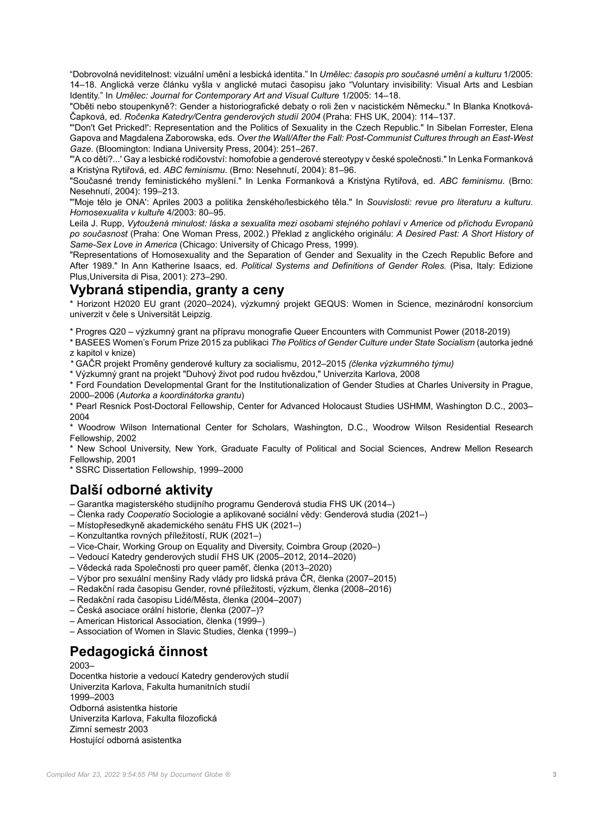"Dobrovolná neviditelnost: vizuální umění a lesbická identita." In *Umělec: časopis pro současné umění a kulturu* 1/2005: 14–18. Anglická verze článku vyšla v anglické mutaci časopisu jako "Voluntary invisibility: Visual Arts and Lesbian Identity." In *Umělec: Journal for Contemporary Art and Visual Culture* 1/2005: 14–18.

"Oběti nebo stoupenkyně?: Gender a historiografické debaty o roli žen v nacistickém Německu." In Blanka Knotková-Čapková, ed. *Ročenka Katedry/Centra genderových studií 2004* (Praha: FHS UK, 2004): 114–137.

"'Don't Get Pricked!': Representation and the Politics of Sexuality in the Czech Republic." In Sibelan Forrester, Elena Gapova and Magdalena Zaborowska, eds. *Over the Wall/After the Fall: Post-Communist Cultures through an East-West Gaze*. (Bloomington: Indiana University Press, 2004): 251–267.

"'A co děti?...' Gay a lesbické rodičovství: homofobie a genderové stereotypy v české společnosti." In Lenka Formanková a Kristýna Rytiřová, ed. *ABC feminismu*. (Brno: Nesehnutí, 2004): 81–96.

"Současné trendy feministického myšlení." In Lenka Formanková a Kristýna Rytiřová, ed. *ABC feminismu*. (Brno: Nesehnutí, 2004): 199–213.

"'Moje tělo je ONA': Apriles 2003 a politika ženského/lesbického těla." In *Souvislosti: revue pro literaturu a kulturu. Homosexualita v kultuře* 4/2003: 80–95.

Leila J. Rupp, *Vytoužená minulost: láska a sexualita mezi osobami stejného pohlaví v Americe od příchodu Evropanů po současnost* (Praha: One Woman Press, 2002.) Překlad z anglického originálu: *A Desired Past: A Short History of Same-Sex Love in America* (Chicago: University of Chicago Press, 1999).

"Representations of Homosexuality and the Separation of Gender and Sexuality in the Czech Republic Before and After 1989." In Ann Katherine Isaacs, ed. *Political Systems and Definitions of Gender Roles.* (Pisa, Italy: Edizione Plus,Universita di Pisa, 2001): 273–290.

## **Vybraná stipendia, granty a ceny**

\* Horizont H2020 EU grant (2020–2024), výzkumný projekt GEQUS: Women in Science, mezinárodní konsorcium univerzit v čele s Universität Leipzig.

\* Progres Q20 – výzkumný grant na přípravu monografie Queer Encounters with Communist Power (2018-2019)

\* BASEES Women's Forum Prize 2015 za publikaci *The Politics of Gender Culture under State Socialism* (autorka jedné z kapitol v knize)

*\** GAČR projekt Proměny genderové kultury za socialismu, 2012–2015 *(členka výzkumného týmu)*

\* Výzkumný grant na projekt "Duhový život pod rudou hvězdou," Univerzita Karlova, 2008

\* Ford Foundation Developmental Grant for the Institutionalization of Gender Studies at Charles University in Prague, 2000–2006 (*Autorka a koordinátorka grantu*)

\* Pearl Resnick Post-Doctoral Fellowship, Center for Advanced Holocaust Studies USHMM, Washington D.C., 2003– 2004

\* Woodrow Wilson International Center for Scholars, Washington, D.C., Woodrow Wilson Residential Research Fellowship, 2002

\* New School University, New York, Graduate Faculty of Political and Social Sciences, Andrew Mellon Research Fellowship, 2001

\* SSRC Dissertation Fellowship, 1999–2000

## **Další odborné aktivity**

– Garantka magisterského studijního programu Genderová studia FHS UK (2014–)

- Členka rady *Cooperatio* Sociologie a aplikované sociální vědy: Genderová studia (2021–)
- Místopřesedkyně akademického senátu FHS UK (2021–)
- Konzultantka rovných příležitostí, RUK (2021–)
- Vice-Chair, Working Group on Equality and Diversity, Coimbra Group (2020–)
- Vedoucí Katedry genderových studií FHS UK (2005–2012, 2014–2020)
- Vědecká rada Společnosti pro queer paměť, členka (2013–2020)
- Výbor pro sexuální menšiny Rady vlády pro lidská práva ČR, členka (2007–2015)
- Redakční rada časopisu Gender, rovné příležitosti, výzkum, členka (2008–2016)
- Redakční rada časopisu Lidé/Města, členka (2004–2007)
- Česká asociace orální historie, členka (2007–)?
- American Historical Association, členka (1999–)
- Association of Women in Slavic Studies, členka (1999–)

# **Pedagogická činnost**

2003–

Docentka historie a vedoucí Katedry genderových studií Univerzita Karlova, Fakulta humanitních studií 1999–2003 Odborná asistentka historie Univerzita Karlova, Fakulta filozofická Zimní semestr 2003 Hostující odborná asistentka